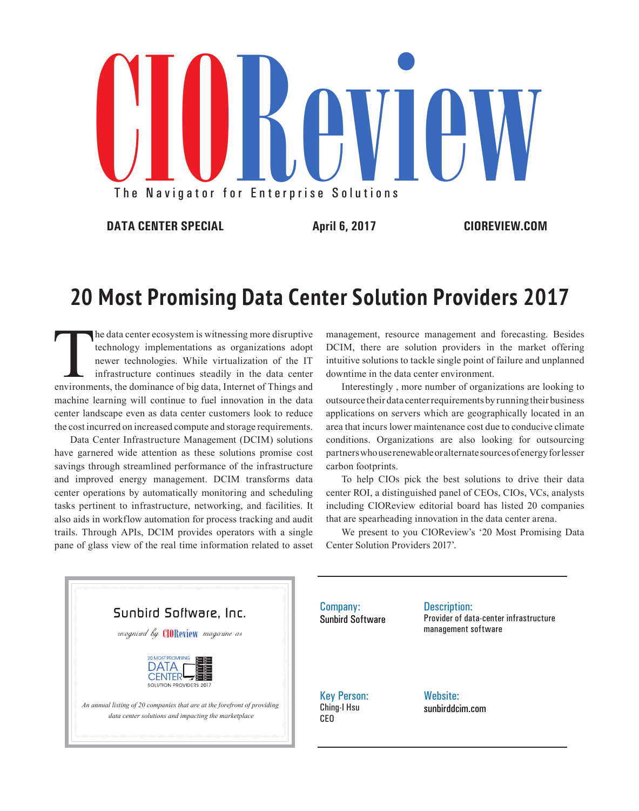

**DATA CENTER SPECIAL April 6, 2017 CIOREVIEW.COM**

## **20 Most Promising Data Center Solution Providers 2017**

The data center ecosystem is witnessing more disruptive<br>technology implementations as organizations adopt<br>newer technologies. While virtualization of the IT<br>infrastructure continues steadily in the data center<br>environments technology implementations as organizations adopt newer technologies. While virtualization of the IT infrastructure continues steadily in the data center machine learning will continue to fuel innovation in the data center landscape even as data center customers look to reduce the cost incurred on increased compute and storage requirements.

Data Center Infrastructure Management (DCIM) solutions have garnered wide attention as these solutions promise cost savings through streamlined performance of the infrastructure and improved energy management. DCIM transforms data center operations by automatically monitoring and scheduling tasks pertinent to infrastructure, networking, and facilities. It also aids in workflow automation for process tracking and audit trails. Through APIs, DCIM provides operators with a single pane of glass view of the real time information related to asset management, resource management and forecasting. Besides DCIM, there are solution providers in the market offering intuitive solutions to tackle single point of failure and unplanned downtime in the data center environment.

Interestingly , more number of organizations are looking to outsource their data center requirements by running their business applications on servers which are geographically located in an area that incurs lower maintenance cost due to conducive climate conditions. Organizations are also looking for outsourcing partners who use renewable or alternate sources of energy for lesser carbon footprints.

To help CIOs pick the best solutions to drive their data center ROI, a distinguished panel of CEOs, CIOs, VCs, analysts including CIOReview editorial board has listed 20 companies that are spearheading innovation in the data center arena.

We present to you CIOReview's '20 Most Promising Data Center Solution Providers 2017'.



Company: Sunbird Software Description: Provider of data-center infrastructure management software

Key Person: Ching-I Hsu CEO

Website: sunbirddcim.com